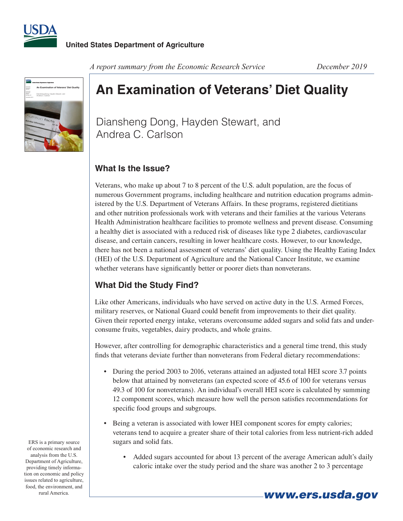



*A report summary from the Economic Research Service December 2019*

# **An Examination of Veterans' Diet Quality**

Diansheng Dong, Hayden Stewart, and Andrea C. Carlson

## **What Is the Issue?**

Veterans, who make up about 7 to 8 percent of the U.S. adult population, are the focus of numerous Government programs, including healthcare and nutrition education programs administered by the U.S. Department of Veterans Affairs. In these programs, registered dietitians and other nutrition professionals work with veterans and their families at the various Veterans Health Administration healthcare facilities to promote wellness and prevent disease. Consuming a healthy diet is associated with a reduced risk of diseases like type 2 diabetes, cardiovascular disease, and certain cancers, resulting in lower healthcare costs. However, to our knowledge, there has not been a national assessment of veterans' diet quality. Using the Healthy Eating Index (HEI) of the U.S. Department of Agriculture and the National Cancer Institute, we examine whether veterans have significantly better or poorer diets than nonveterans.

## **What Did the Study Find?**

Like other Americans, individuals who have served on active duty in the U.S. Armed Forces, military reserves, or National Guard could benefit from improvements to their diet quality. Given their reported energy intake, veterans overconsume added sugars and solid fats and underconsume fruits, vegetables, dairy products, and whole grains.

However, after controlling for demographic characteristics and a general time trend, this study finds that veterans deviate further than nonveterans from Federal dietary recommendations:

- During the period 2003 to 2016, veterans attained an adjusted total HEI score 3.7 points below that attained by nonveterans (an expected score of 45.6 of 100 for veterans versus 49.3 of 100 for nonveterans). An individual's overall HEI score is calculated by summing 12 component scores, which measure how well the person satisfies recommendations for specific food groups and subgroups.
- Being a veteran is associated with lower HEI component scores for empty calories; veterans tend to acquire a greater share of their total calories from less nutrient-rich added sugars and solid fats.
	- Added sugars accounted for about 13 percent of the average American adult's daily caloric intake over the study period and the share was another 2 to 3 percentage

ERS is a primary source of economic research and analysis from the U.S. Department of Agriculture, providing timely information on economic and policy issues related to agriculture, food, the environment, and rural America. *www.ers.usda.gov*